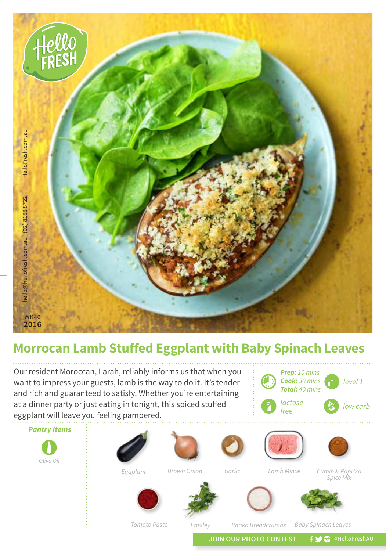

## **Morrocan Lamb Stuffed Eggplant with Baby Spinach Leaves**

Our resident Moroccan, Larah, reliably informs us that when you want to impress your guests, lamb is the way to do it. It's tender and rich and guaranteed to satisfy. Whether you're entertaining at a dinner party or just eating in tonight, this spiced stuffed eggplant will leave you feeling pampered.



*Tomato Paste*

*Parsley Panko Breadcrumbs Baby Spinach Leaves*

*level 1*

JOIN OUR PHOTO CONTEST **f y** a #HelloFreshAU

*Prep: 10 mins Cook: 30 mins Total: 40 mins*

*free low carb* 

*lactose*